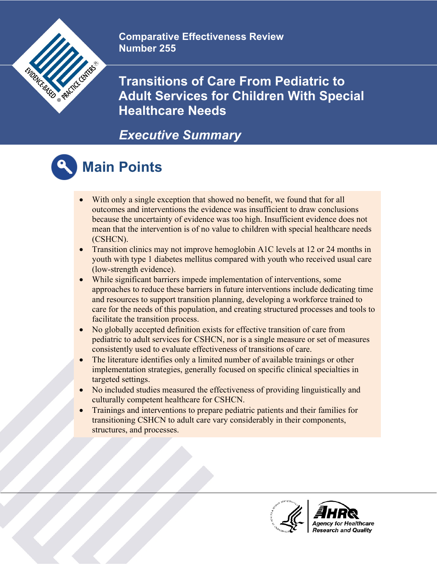

**Comparative Effectiveness Review Number 255**

**Transitions of Care From Pediatric to Adult Services for Children With Special Healthcare Needs**

#### *Executive Summary*



#### **Main Points**

- With only a single exception that showed no benefit, we found that for all outcomes and interventions the evidence was insufficient to draw conclusions because the uncertainty of evidence was too high. Insufficient evidence does not mean that the intervention is of no value to children with special healthcare needs (CSHCN).
- Transition clinics may not improve hemoglobin A1C levels at 12 or 24 months in youth with type 1 diabetes mellitus compared with youth who received usual care (low-strength evidence).
- While significant barriers impede implementation of interventions, some approaches to reduce these barriers in future interventions include dedicating time and resources to support transition planning, developing a workforce trained to care for the needs of this population, and creating structured processes and tools to facilitate the transition process.
- No globally accepted definition exists for effective transition of care from pediatric to adult services for CSHCN, nor is a single measure or set of measures consistently used to evaluate effectiveness of transitions of care.
- The literature identifies only a limited number of available trainings or other implementation strategies, generally focused on specific clinical specialties in targeted settings.
- No included studies measured the effectiveness of providing linguistically and culturally competent healthcare for CSHCN.
- Trainings and interventions to prepare pediatric patients and their families for transitioning CSHCN to adult care vary considerably in their components, structures, and processes.

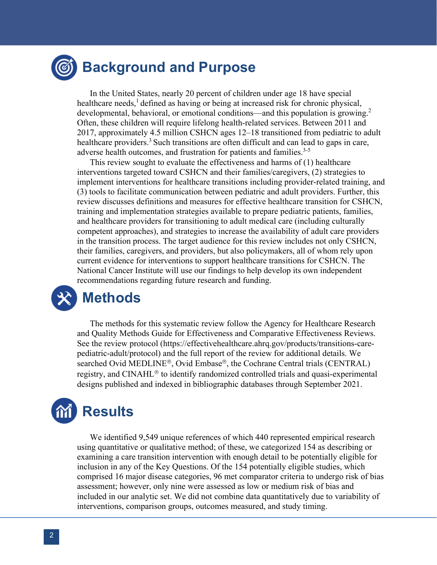## **Background and Purpose**

In the United States, nearly 20 percent of children under age 18 have special healthcare needs, $<sup>1</sup>$  defined as having or being at increased risk for chronic physical,</sup> developmental, behavioral, or emotional conditions—and this population is growing.<sup>2</sup> Often, these children will require lifelong health-related services. Between 2011 and 2017, approximately 4.5 million CSHCN ages 12–18 transitioned from pediatric to adult healthcare providers.<sup>3</sup> Such transitions are often difficult and can lead to gaps in care, adverse health outcomes, and frustration for patients and families.<sup>3-5</sup>

This review sought to evaluate the effectiveness and harms of (1) healthcare interventions targeted toward CSHCN and their families/caregivers, (2) strategies to implement interventions for healthcare transitions including provider-related training, and (3) tools to facilitate communication between pediatric and adult providers. Further, this review discusses definitions and measures for effective healthcare transition for CSHCN, training and implementation strategies available to prepare pediatric patients, families, and healthcare providers for transitioning to adult medical care (including culturally competent approaches), and strategies to increase the availability of adult care providers in the transition process. The target audience for this review includes not only CSHCN, their families, caregivers, and providers, but also policymakers, all of whom rely upon current evidence for interventions to support healthcare transitions for CSHCN. The National Cancer Institute will use our findings to help develop its own independent recommendations regarding future research and funding.



The methods for this systematic review follow the Agency for Healthcare Research and Quality Methods Guide for Effectiveness and Comparative Effectiveness Reviews. See the review protocol (https://effectivehealthcare.ahrq.gov/products/transitions-carepediatric-adult/protocol) and the full report of the review for additional details. We searched Ovid MEDLINE®, Ovid Embase®, the Cochrane Central trials (CENTRAL) registry, and CINAHL<sup>®</sup> to identify randomized controlled trials and quasi-experimental designs published and indexed in bibliographic databases through September 2021.

# **Results**

We identified 9,549 unique references of which 440 represented empirical research using quantitative or qualitative method; of these, we categorized 154 as describing or examining a care transition intervention with enough detail to be potentially eligible for inclusion in any of the Key Questions. Of the 154 potentially eligible studies, which comprised 16 major disease categories, 96 met comparator criteria to undergo risk of bias assessment; however, only nine were assessed as low or medium risk of bias and included in our analytic set. We did not combine data quantitatively due to variability of interventions, comparison groups, outcomes measured, and study timing.

 $\overline{a}$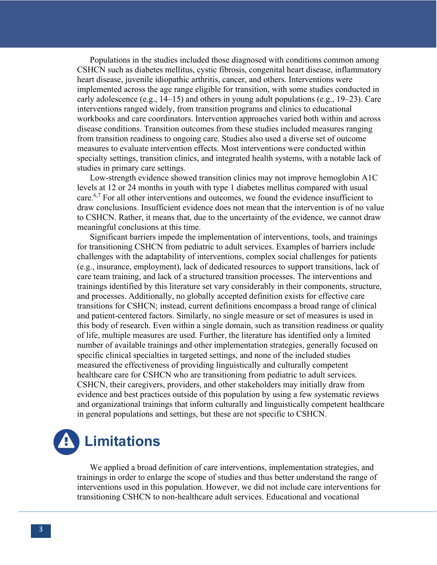Populations in the studies included those diagnosed with conditions common among CSHCN such as diabetes mellitus, cystic fibrosis, congenital heart disease, inflammatory heart disease, juvenile idiopathic arthritis, cancer, and others. Interventions were implemented across the age range eligible for transition, with some studies conducted in early adolescence (e.g.,  $14-15$ ) and others in young adult populations (e.g.,  $19-23$ ). Care interventions ranged widely, from transition programs and clinics to educational workbooks and care coordinators. Intervention approaches varied both within and across disease conditions. Transition outcomes from these studies included measures ranging from transition readiness to ongoing care. Studies also used a diverse set of outcome measures to evaluate intervention effects. Most interventions were conducted within specialty settings, transition clinics, and integrated health systems, with a notable lack of studies in primary care settings.

Low-strength evidence showed transition clinics may not improve hemoglobin A1C levels at 12 or 24 months in youth with type 1 diabetes mellitus compared with usual care.<sup>6,7</sup> For all other interventions and outcomes, we found the evidence insufficient to draw conclusions. Insufficient evidence does not mean that the intervention is of no value to CSHCN. Rather, it means that, due to the uncertainty of the evidence, we cannot draw meaningful conclusions at this time.

Significant barriers impede the implementation of interventions, tools, and trainings for transitioning CSHCN from pediatric to adult services. Examples of barriers include challenges with the adaptability of interventions, complex social challenges for patients (e.g., insurance, employment), lack of dedicated resources to support transitions, lack of care team training, and lack of a structured transition processes. The interventions and trainings identified by this literature set vary considerably in their components, structure, and processes. Additionally, no globally accepted definition exists for effective care transitions for CSHCN; instead, current definitions encompass a broad range of clinical and patient-centered factors. Similarly, no single measure or set of measures is used in this body of research. Even within a single domain, such as transition readiness or quality of life, multiple measures are used. Further, the literature has identified only a limited number of available trainings and other implementation strategies, generally focused on specific clinical specialties in targeted settings, and none of the included studies measured the effectiveness of providing linguistically and culturally competent healthcare care for CSHCN who are transitioning from pediatric to adult services. CSHCN, their caregivers, providers, and other stakeholders may initially draw from evidence and best practices outside of this population by using a few systematic reviews and organizational trainings that inform culturally and linguistically competent healthcare in general populations and settings, but these are not specific to CSHCN.



We applied a broad definition of care interventions, implementation strategies, and trainings in order to enlarge the scope of studies and thus better understand the range of interventions used in this population. However, we did not include care interventions for transitioning CSHCN to non-healthcare adult services. Educational and vocational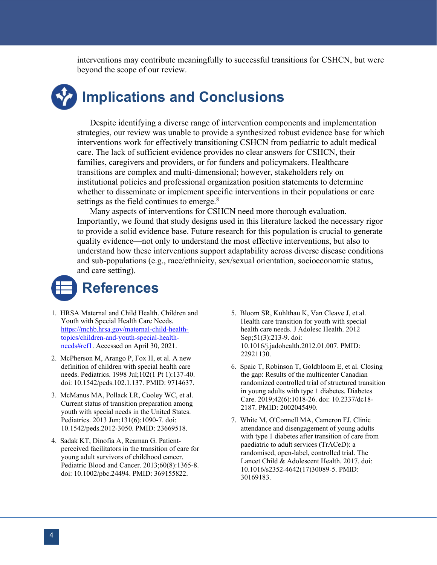interventions may contribute meaningfully to successful transitions for CSHCN, but were beyond the scope of our review.

## **Implications and Conclusions**

Despite identifying a diverse range of intervention components and implementation strategies, our review was unable to provide a synthesized robust evidence base for which interventions work for effectively transitioning CSHCN from pediatric to adult medical care. The lack of sufficient evidence provides no clear answers for CSHCN, their families, caregivers and providers, or for funders and policymakers. Healthcare transitions are complex and multi-dimensional; however, stakeholders rely on institutional policies and professional organization position statements to determine whether to disseminate or implement specific interventions in their populations or care settings as the field continues to emerge.<sup>8</sup>

Many aspects of interventions for CSHCN need more thorough evaluation. Importantly, we found that study designs used in this literature lacked the necessary rigor to provide a solid evidence base. Future research for this population is crucial to generate quality evidence—not only to understand the most effective interventions, but also to understand how these interventions support adaptability across diverse disease conditions and sub-populations (e.g., race/ethnicity, sex/sexual orientation, socioeconomic status, and care setting).



- 1. HRSA Maternal and Child Health. Children and Youth with Special Health Care Needs. [https://mchb.hrsa.gov/maternal-child-health](https://mchb.hrsa.gov/maternal-child-health-topics/children-and-youth-special-health-needs#ref1)[topics/children-and-youth-special-health](https://mchb.hrsa.gov/maternal-child-health-topics/children-and-youth-special-health-needs#ref1)[needs#ref1.](https://mchb.hrsa.gov/maternal-child-health-topics/children-and-youth-special-health-needs#ref1) Accessed on April 30, 2021.
- 2. McPherson M, Arango P, Fox H, et al. A new definition of children with special health care needs. Pediatrics. 1998 Jul;102(1 Pt 1):137-40. doi: 10.1542/peds.102.1.137. PMID: 9714637.
- 3. McManus MA, Pollack LR, Cooley WC, et al. Current status of transition preparation among youth with special needs in the United States. Pediatrics. 2013 Jun;131(6):1090-7. doi: 10.1542/peds.2012-3050. PMID: 23669518.
- 4. Sadak KT, Dinofia A, Reaman G. Patientperceived facilitators in the transition of care for young adult survivors of childhood cancer. Pediatric Blood and Cancer. 2013;60(8):1365-8. doi: 10.1002/pbc.24494. PMID: 369155822.
- 5. Bloom SR, Kuhlthau K, Van Cleave J, et al. Health care transition for youth with special health care needs. J Adolesc Health. 2012 Sep;51(3):213-9. doi: 10.1016/j.jadohealth.2012.01.007. PMID: 22921130.
- 6. Spaic T, Robinson T, Goldbloom E, et al. Closing the gap: Results of the multicenter Canadian randomized controlled trial of structured transition in young adults with type 1 diabetes. Diabetes Care. 2019;42(6):1018-26. doi: 10.2337/dc18- 2187. PMID: 2002045490.
- 7. White M, O'Connell MA, Cameron FJ. Clinic attendance and disengagement of young adults with type 1 diabetes after transition of care from paediatric to adult services (TrACeD): a randomised, open-label, controlled trial. The Lancet Child & Adolescent Health. 2017. doi: 10.1016/s2352-4642(17)30089-5. PMID: 30169183.

 $\overline{a}$